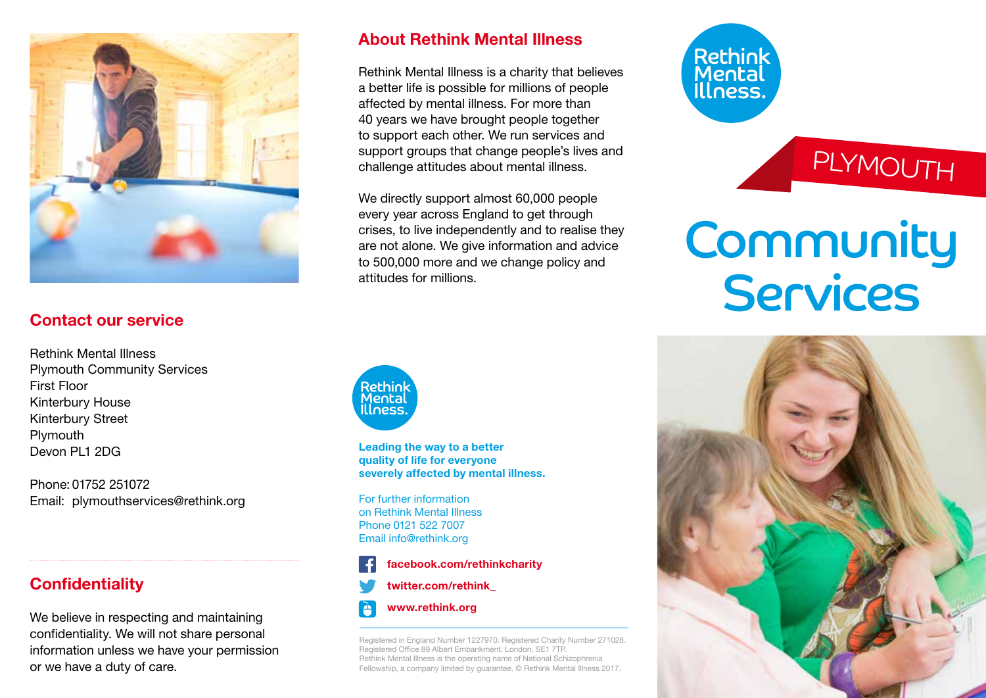

### Contact our service

Rethink Mental Illness Plymouth Community Services First Floor Kinterbury House Kinterbury Street **Plymouth** Devon PL1 2DG

Phone: 01752 251072 Email: plymouthservices@rethink.org

### **Confidentiality**

We believe in respecting and maintaining confidentiality. We will not share personal information unless we have your permission or we have a duty of care.

### About Rethink Mental Illness

Rethink Mental Illness is a charity that believes a better life is possible for millions of people affected by mental illness. For more than 40 years we have brought people together to support each other. We run services and support groups that change people's lives and challenge attitudes about mental illness.

We directly support almost 60,000 people every year across England to get through crises, to live independently and to realise they are not alone. We give information and advice to 500,000 more and we change policy and attitudes for millions.



Leading the way to a better quality of life for everyone severely affected by mental illness.

For further information on Rethink Mental Illness Phone 0121 522 7007 Email info@rethink.org



www.rethink.org

Registered in England Number 1227970. Registered Charity Number 271028. Registered Office 89 Albert Embankment, London, SE1 7TP. Rethink Mental Illness is the operating name of National Schizophrenia Fellowship, a company limited by guarantee. © Rethink Mental Illness 2017.

# Rethink<br>Mental<br>Illness.

### PLYMOUTH

## Community Services